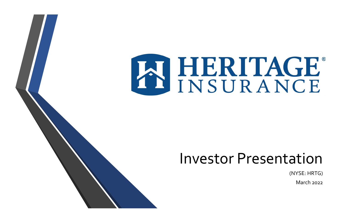

# Investor Presentation

### (NYSE: HRTG)

March 2022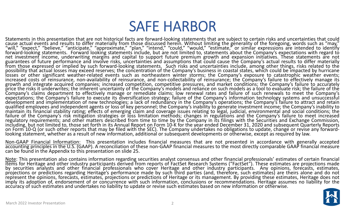## SAFE HARBOR

Statements in this presentation that are not historical facts are forward-looking statements that are subject to certain risks and uncertainties that could cause actual events and results to differ materially from those discussed herein. Without limiting the generality of the foregoing, words such as "may,"<br>"will," "expect," "believe," "anticipate," "approximate," "plan," "in net investment income, underwriting margins and capital to support future premium growth and expansion initiatives. These statements are not<br>guarantees of future performance and involve risks, uncertainties and assumptions from those expressed or implied by such forward-looking statements. Such risks and uncertainties include, among other things, risks related to the possibility that actual losses may exceed reserves; the concentration of the Company's business in coastal states, which could be impacted by hurricane<br>losses or other significant weather-related events such as northeaster losses or other significant weather-related events such as northeastern winter storms; the Company's exposure to catastrophic weather events;<br>increased costs of reinsurance, non-availability of reinsurance, and non-collect growth and integrate acquired companies; increased competition, competitive pressures, and market conditions; the Company's failure to accurately<br>price the risks it underwrites; the inherent uncertainty of the Company's mo Company's claims department to effectively manage or remediate claims; low renewal rates and failure of such renewals to meet the Company's<br>expectations; the Company's failure to execute its diversification strategy; failu development and implementation of new technologies; a lack of redundancy in the Company's operations; the Company's failure to attract and retain<br>qualified employees and independent agents or loss of key personnel; the Com failure of the Company's risk mitigation strategies or loss limitation methods; changes in regulations and the Company's failure to meet increased<br>regulatory requirements; and other matters described from time to time by t including, but not limited to, those set forth in its Annual Report on Form 10-K for the year ended December 31, 2020 and subsequent Quarterly Reports on Form 10 ‐Q (or such other reports that may be filed with the SEC). The Company undertakes no obligations to update, change or revise any forward ‐ looking statement, whether as a result of new information, additional or subsequent developments or otherwise, except as required by law.

Non-GAAP Financial Information: This presentation includes financial measures that are not presented in accordance with generally accepted accounting principles in the U.S. (GAAP). A reconciliation of these non-GAAP financial measures to the most directly comparable GAAP financial measure can be found in the Appendix to this presentation on slide 25.

Note: This presentation also contains information regarding securities analyst consensus and other financial professionals' estimates of certain financial items for Heritage and other industry participants derived from rep by securities analysts and other financial professionals who cover Heritage and other industry participants. Any opinions, forecasts, estimates, projections or predictions regarding Heritage's performance made by such third parties (and, therefore, such estimates) are theirs alone and do not<br>represent the opinions, forecasts, estimates, projections or predictions o imply its adoption of, endorsement of or concurrence with such information, conclusions or recommendations. Heritage assumes no liability for the accuracy of such estimates and undertakes no liability to update or revise such estimates based on new information or otherwise.

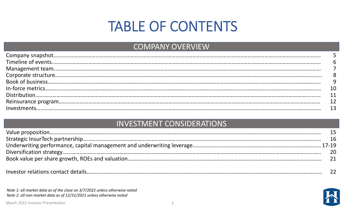# TABLE OF CONTENTS



## INVESTMENT CONSIDERATIONS

## COMPANY OVERVIEW

*Note 1: all market data as of the close on 3/7/2022 unless otherwise noted Note 2: all non‐market data as of 12/31/2021 unless otherwise noted*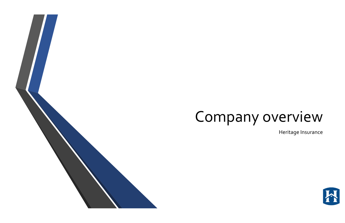



# Company overview

### Heritage Insurance

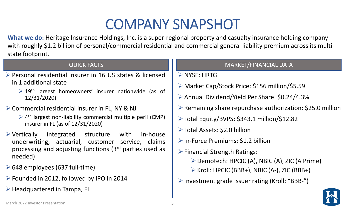# COMPANY SNAPSHOT

- Personal residential insurer in 16 US states & licensedin 1 additional state
	- $\geq 19$ <sup>th</sup> largest homeowners' insurer nationwide (as of 12/31/2020)
- **► Commercial residential insurer in FL, NY & NJ** 
	- ▶ 4<sup>th</sup> largest non-liability commercial multiple peril (CMP) insurer in FL (as of 12/31/2020)
- Vertically integrated structure with in‐house underwriting, actuarial, customer service, claims processing and adjusting functions (3rd parties used as needed)
- $\geq 648$  employees (637 full-time)
- Founded in 2012, followed by IPO in 2014
- $\triangleright$  Headquartered in Tampa, FL
- **NYSE: HRTG**
- Market Cap/Stock Price: \$156 million/\$5.59
- Annual Dividend/Yield Per Share: \$0.24/4.3%
- Remaining share repurchase authorization: \$25.0 million Total Equity/BVPS: \$343.1 million/\$12.82
- 
- Total Assets: \$2.0 billion
- $\triangleright$  In-Force Premiums: \$1.2 billion
- $\triangleright$  Financial Strength Ratings:
	- Demotech: HPCIC (A), NBIC (A), ZIC (A Prime)
	- ▶ Kroll: HPCIC (BBB+), NBIC (A-), ZIC (BBB+)
- Investment grade issuer rating (Kroll: "BBB‐")

**What we do:** Heritage Insurance Holdings, Inc. is <sup>a</sup> super‐regional property and casualty insurance holding company with roughly \$1.2 billion of personal/commercial residential and commercial general liability premium across its multi‐ state footprint.



## QUICK FACTS AND RESERVE TO THE RESERVE TO A RESERVE THE MARKET/FINANCIAL DATA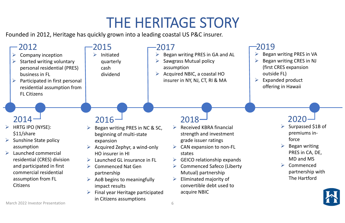# THE HERITAGE STORY

Founded in 2012, Heritage has quickly grown into <sup>a</sup> leading coastal US P&C insurer.

## 2019

### $\blacktriangleright$ Began writing PRES in VA

- $\blacktriangleright$  Began writing CRES in NJ (first CRES expansion outside FL)
- $\blacktriangleright$  Expanded product offering in Hawaii



- $\blacktriangleright$  Surpassed \$1B of premiums in‐ force
- $\blacktriangleright$  Began writing
	- PRES in CA, DE,
	- MD and MS
- $\blacktriangleright$  Commenced
	- partnership with The Hartford



## 2020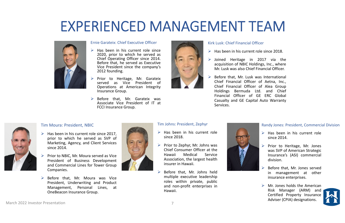## EXPERIENCED MANAGEMENT TEAM



### Ernie Garateix: Chief Executive Officer

- $\triangleright$  Has been in his current role since 2020, prior to which he served as Chief Operating Officer since 2014. Before that, he served as Executive Vice President since the company's 2012 founding.
- $\blacktriangleright$  Prior to Heritage, Mr. Garateix served as Vice President ofOperations at American Integrity Insurance Group.
- $\blacktriangleright$  Before that, Mr. Garateix was Associate Vice President of IT atFCCI Insurance Group.



- $\triangleright$  Has been in his current role since 2018.
- $\triangleright$  Joined Heritage in 2017 via the acquisition of NBIC Holdings, Inc., where Mr. Lusk was also Chief Financial Officer.
- $\blacktriangleright$  Before that, Mr. Lusk was International Chief Financial Officer of Aetna, Inc., Chief Financial Officer of Alea Group Holdings Bermuda Ltd. and Chief Financial Officer of GE ERC GlobalCasualty and GE Capital Auto Warranty Services.



### Kirk Lusk: Chief Financial Officer

- $\triangleright$  Has been in his current role since 2017, prior to which he served as SVP of Marketing, Agency, and Client Services since 2014.
- $\blacktriangleright$  Prior to NBIC, Mr. Moura served as Vice President of Business Development and Commercial Lines for Tower Group Companies.
- $\triangleright$  Before that, Mr. Moura was Vice President, Underwriting and Product Management, Personal Lines, at OneBeacon Insurance Group.

### Randy Jones: President, Commercial Division

- $\triangleright$  Has been in his current role since 2014.
- $\triangleright$  Prior to Heritage, Mr. Jones was SVP of American Strategic Insurance's (ASI) commercial division.
- $\blacktriangleright$  Before that, Mr. Jones served in management at other insurance enterprises.
- $\triangleright$  Mr. Jones holds the American Risk Manager (ARM) and Certified Property Insurance Adviser (CPIA) designations.<br>March 2022 Investor Presentation and the set of the set of the set of the set of the set of the set of the set o



- $\triangleright$  Has been in his current role since 2018.
- $\blacktriangleright$  Prior to Zephyr, Mr. Johns was Chief Consumer Officer at theHawaii Medical ServiceAssociation, the largest health insurer in Hawaii.
- $\blacktriangleright$  Before that, Mr. Johns held multiple executive leadership roles within private, public and non‐profit enterprises in Hawaii.



### Tim Moura: President, NBIC

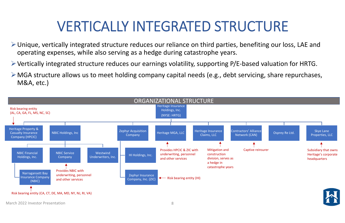## VERTICALLY INTEGRATED STRUCTURE

- Unique, vertically integrated structure reduces our reliance on third parties, benefiting our loss, LAE and operating expenses, while also serving as <sup>a</sup> hedge during catastrophe years.
- Vertically integrated structure reduces our earnings volatility, supporting P/E‐based valuation for HRTG.
- MGA structure allows us to meet holding company capital needs (e.g., debt servicing, share repurchases, M&A, etc.)



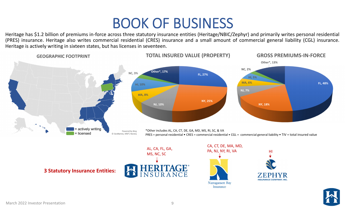Heritage has \$1.2 billion of premiums in-force across three statutory insurance entities (Heritage/NBIC/Zephyr) and primarily writes personal residential (PRES) insurance. Heritage also writes commercial residential (CRES) insurance and <sup>a</sup> small amount of commercial general liability (CGL) insurance. Heritage is actively writing in sixteen states, but has licenses in seventeen.



## BOOK OF BUSINESS







AL, CA, FL, GA, MS, NC, SC CA, CT, DE, MA, MD, PA, NJ, NY, RI, VA

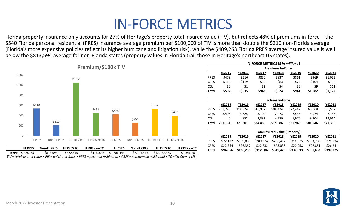## IN‐FORCE METRICS

Florida property insurance only accounts for 27% of Heritage's property total insured value (TIV), but reflects 48% of premiums in‐force – the \$540 Florida personal residential (PRES) insurance average premium per \$100,000 of TIV is more than double the \$210 non‐Florida average (Florida's more expensive policies reflect its higher hurricane and litigation risk), while the \$409,263 Florida PRES average insured value is well below the \$813,594 average for non‐Florida states (property values in Florida trail those in Heritage's northeast US states).



**IN‐FORCE METRICS (***\$ in millions* **)**

|             |               |               |               | <b>Premiums In-Force</b>              |               |               |               |  |
|-------------|---------------|---------------|---------------|---------------------------------------|---------------|---------------|---------------|--|
|             | <b>YE2015</b> | <b>YE2016</b> | <b>YE2017</b> | <b>YE2018</b>                         | <b>YE2019</b> | <b>YE2020</b> | <b>YE2021</b> |  |
| <b>PRES</b> | \$478         | \$516         | \$850         | \$837                                 | \$861         | \$969         | \$1,052       |  |
| <b>CRES</b> | \$113         | \$119         | \$90          | \$83                                  | \$73          | \$104         | \$110         |  |
| CGL         | \$0           | \$1           | \$2           | \$4                                   | \$6           | \$9           | \$11          |  |
| Total       | \$592         | \$635         | \$942         | \$924                                 | \$941         | \$1,082       | \$1,172       |  |
|             |               |               |               |                                       |               |               |               |  |
|             |               |               |               | <b>Policies In-Force</b>              |               |               |               |  |
|             | <b>YE2015</b> | <b>YE2016</b> | <b>YE2017</b> | <b>YE2018</b>                         | <b>YE2019</b> | <b>YE2020</b> | <b>YE2021</b> |  |
| <b>PRES</b> | 253,726       | 318,824       | 518,957       | 508,424                               | 522,442       | 568,068       | 556,507       |  |
| <b>CRES</b> | 3,405         | 3,625         | 3,100         | 2,973                                 | 2,533         | 3,074         | 2,745         |  |
| CGL         | 0             | 852           | 2,393         | 4,289                                 | 6,970         | 9,904         | 12,064        |  |
| Total       | 257,131       | 323,301       | 524,450       | 515,686                               | 531,945       | 581,046       | 571,316       |  |
|             |               |               |               |                                       |               |               |               |  |
|             |               |               |               | <b>Total Insured Value (Property)</b> |               |               |               |  |
|             | <b>YE2015</b> | <b>YE2016</b> | <b>YE2017</b> | <b>YE2018</b>                         | <b>YE2019</b> | <b>YE2020</b> | <b>YE2021</b> |  |
| <b>PRES</b> | \$72,102      | \$109,888     | \$289,974     | \$296,432                             | \$316,075     | \$353,780     | \$371,734     |  |
| <b>CRES</b> | \$22,764      | \$26,367      | \$22,832      | \$23,038                              | \$20,958      | \$27,851      | \$26,241      |  |
| Total       | \$94,866      | \$136,256     | \$312,806     | \$319,470                             | \$337,033     | \$381,632     | \$397,975     |  |
|             |               |               |               |                                       |               |               |               |  |

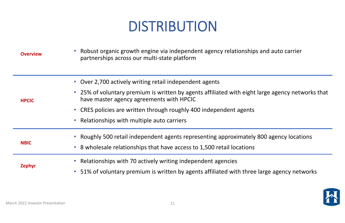# DISTRIBUTION

| <b>Overview</b> | Robust organic growth engine via independent agency relationships and auto carrier<br>$\bullet$<br>partnerships across our multi-state platform |
|-----------------|-------------------------------------------------------------------------------------------------------------------------------------------------|
|                 | Over 2,700 actively writing retail independent agents<br>$\bullet$                                                                              |
| <b>HPCIC</b>    | • 25% of voluntary premium is written by agents affiliated with eight large agency networks that<br>have master agency agreements with HPCIC    |
|                 | • CRES policies are written through roughly 400 independent agents                                                                              |
|                 | Relationships with multiple auto carriers<br>$\bullet$                                                                                          |
|                 | • Roughly 500 retail independent agents representing approximately 800 agency locations                                                         |
| <b>NBIC</b>     | • 8 wholesale relationships that have access to 1,500 retail locations                                                                          |
|                 | Relationships with 70 actively writing independent agencies<br>$\bullet$                                                                        |
| <b>Zephyr</b>   | • 51% of voluntary premium is written by agents affiliated with three large agency networks                                                     |



## y 800 agency locations

### ps and auto carrier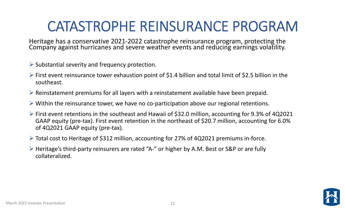## CATASTROPHE REINSURANCE PROGRAM

Heritage has <sup>a</sup> conservative 2021‐2022 catastrophe reinsurance program, protecting the Company against hurricanes and severe weather events and reducing earnings volatility.



- $\triangleright$  Substantial severity and frequency protection.
- $\triangleright$  First event reinsurance tower exhaustion point of \$1.4 billion and total limit of \$2.5 billion in the southeast.
- $\triangleright$  Reinstatement premiums for all layers with a reinstatement available have been prepaid.
- Within the reinsurance tower, we have no co‐participation above our regional retentions.
- First event retentions in the southeast and Hawaii of \$32.0 million, accounting for 9.3% of 4Q2021 GAAP equity (pre‐tax). First event retention in the northeast of \$20.7 million, accounting for 6.0% of 4Q2021 GAAP equity (pre‐tax).
- Total cost to Heritage of \$312 million, accounting for 27% of 4Q2021 premiums in‐force.
- Heritage's third‐party reinsurers are rated "A‐" or higher by A.M. Best or S&P or are fully collateralized.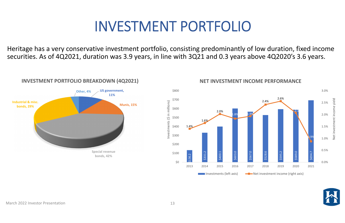## INVESTMENT PORTFOLIO

Heritage has <sup>a</sup> very conservative investment portfolio, consisting predominantly of low duration, fixed income securities. As of 4Q2021, duration was 3.9 years, in line with 3Q21 and 0.3 years above 4Q2020's 3.6 years.

3.0%

\$800







Investments (\$ in millions)

Investments (\$ in millions)

### **NET INVESTMENT INCOME PERFORMANCE**

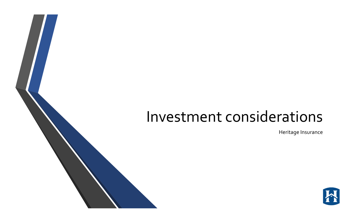# Investment considerations

### Heritage Insurance

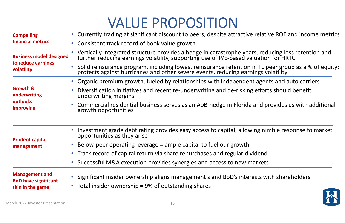# VALUE PROPOSITION

| • Currently trading at significant discount to peers, despite attractive relative ROE and income metrics                                                                                                                     |
|------------------------------------------------------------------------------------------------------------------------------------------------------------------------------------------------------------------------------|
| • Consistent track record of book value growth                                                                                                                                                                               |
| Vertically integrated structure provides a hedge in catastrophe years, reducing loss retention and<br>further reducing earnings volatility, supporting use of P/E-based valuation for HRTG<br><b>Business model designed</b> |
| Solid reinsurance program, including lowest reinsurance retention in FL peer group as a % of equity;<br>protects against hurricanes and other severe events, reducing earnings volatility                                    |
| Organic premium growth, fueled by relationships with independent agents and auto carriers                                                                                                                                    |
| Diversification initiatives and recent re-underwriting and de-risking efforts should benefit<br>underwriting margins                                                                                                         |
| Commercial residential business serves as an AoB-hedge in Florida and provides us with additional<br>growth opportunities                                                                                                    |
| Investment grade debt rating provides easy access to capital, allowing nimble response to market<br>opportunities as they arise                                                                                              |
| Below-peer operating leverage = ample capital to fuel our growth                                                                                                                                                             |
| • Track record of capital return via share repurchases and regular dividend                                                                                                                                                  |
| • Successful M&A execution provides synergies and access to new markets                                                                                                                                                      |
| Significant insider ownership aligns management's and BoD's interests with shareholders<br>• Total insider ownership = 9% of outstanding shares                                                                              |
|                                                                                                                                                                                                                              |

### relative ROE and income metrics

- 
- 
- t agents and auto carriers
- efforts should benefit
- and provides us with additional

### ing nimble response to market

- 
- 
- ests with shareholders

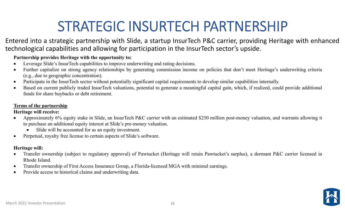# STRATEGIC INSURTECH PARTNERSHIP

Entered into <sup>a</sup> strategic partnership with Slide, <sup>a</sup> startup InsurTech P&C carrier, providing Heritage with enhanced technological capabilities and allowing for participation in the InsurTech sector's upside.

### **Partnership provides Heritage with the opportunity to:**

- $\bullet$ Leverage Slide's InsurTech capabilities to improve underwriting and rating decisions.
- $\bullet$  Further capitalize on strong agency relationships by generating commission income on policies that don't meet Heritage's underwriting criteria (e.g., due to geographic concentration).
- $\bullet$ Participate in the InsurTech sector without potentially significant capital requirements to develop similar capabilities internally.
- $\bullet$  Based on current publicly traded InsurTech valuations, potential to generate <sup>a</sup> meaningful capital gain, which, if realized, could provide additional funds for share buybacks or debt retirement.

- $\bullet$  Approximately 6% equity stake in Slide, an InsurTech P&C carrier with an estimated \$250 million post-money valuation, and warrants allowing it to purchase an additional equity interest at Slide's pre-money valuation.
	- $\bullet$ Slide will be accounted for as an equity investment.
- $\bullet$ Perpetual, royalty free license to certain aspects of Slide's software.

- $\bullet$  Transfer ownership (subject to regulatory approval) of Pawtucket (Heritage will retain Pawtucket's surplus), <sup>a</sup> dormant P&C carrier licensed in Rhode Island.
- $\bullet$ Transfer ownership of First Access Insurance Group, <sup>a</sup> Florida-licensed MGA with minimal earnings.
- $\bullet$ Provide access to historical claims and underwriting data.



### **Terms of the partnership**

### **Heritage will receive:**

### **Heritage will:**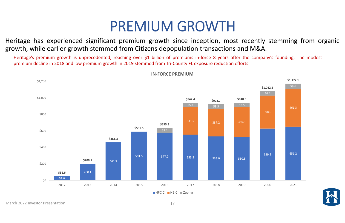## PREMIUM GROWTH

Heritage has experienced significant premium growth since inception, most recently stemming from organic growth, while earlier growth stemmed from Citizens depopulation transactions and M&A.

Heritage's premium growth is unprecedented, reaching over \$1 billion of premiums in-force 8 years after the company's founding. The modest premium decline in 2018 and low premium growth in 2019 stemmed from Tri-County FL exposure reduction efforts.





**\$1,172.1**





**IN‐FORCE PREMIUM**

March 2022 Investor Presentation 17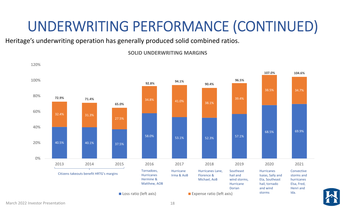# UNDERWRITING PERFORMANCE (CONTINUED)

Heritage's underwriting operation has generally produced solid combined ratios.

68.5% 69.9% 38.5% 34.7%**107.0%104.6%**

**Hurricanes** Isaias, Sally and Eta, Southeast hail, tornado and wind storms

**SOLID UNDERWRITING MARGINS**



Convectivestorms andhurricanes Elsa, Fred, Henri andIda.

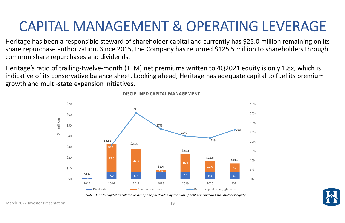## CAPITAL MANAGEMENT & OPERATING LEVERAGE

Heritage has been <sup>a</sup> responsible steward of shareholder capital and currently has \$25.0 million remaining on its share repurchase authorization. Since 2015, the Company has returned \$125.5 million to shareholders through common share repurchases and dividends.

Heritage's ratio of trailing-twelve-month (TTM) net premiums written to 4Q2021 equity is only 1.8x, which is indicative of its conservative balance sheet. Looking ahead, Heritage has adequate capital to fuel its premium growth and multi‐state expansion initiatives.



**DISCIPLINED CAPITAL MANAGEMENT**

Note: Debt-to-capital calculated as debt principal divided by the sum of debt principal and stockholders' equity

March 2022 Investor Presentation 19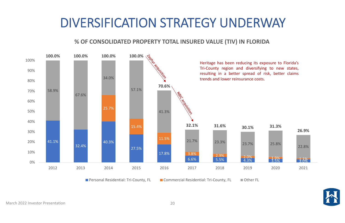## DIVERSIFICATION STRATEGY UNDERWAY





### **% OF CONSOLIDATED PROPERTY TOTAL INSURED VALUE (TIV) IN FLORIDA**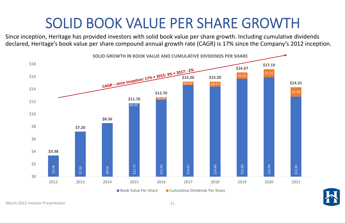## SOLID BOOK VALUE PER SHARE GROWTH



Since inception, Heritage has provided investors with solid book value per share growth. Including cumulative dividends declared, Heritage's book value per share compound annual growth rate (CAGR) is 17% since the Company's 2012 inception.



**SOLID GROWTH IN BOOK VALUE AND CUMULATIVE DIVIDENDS PER SHARE**